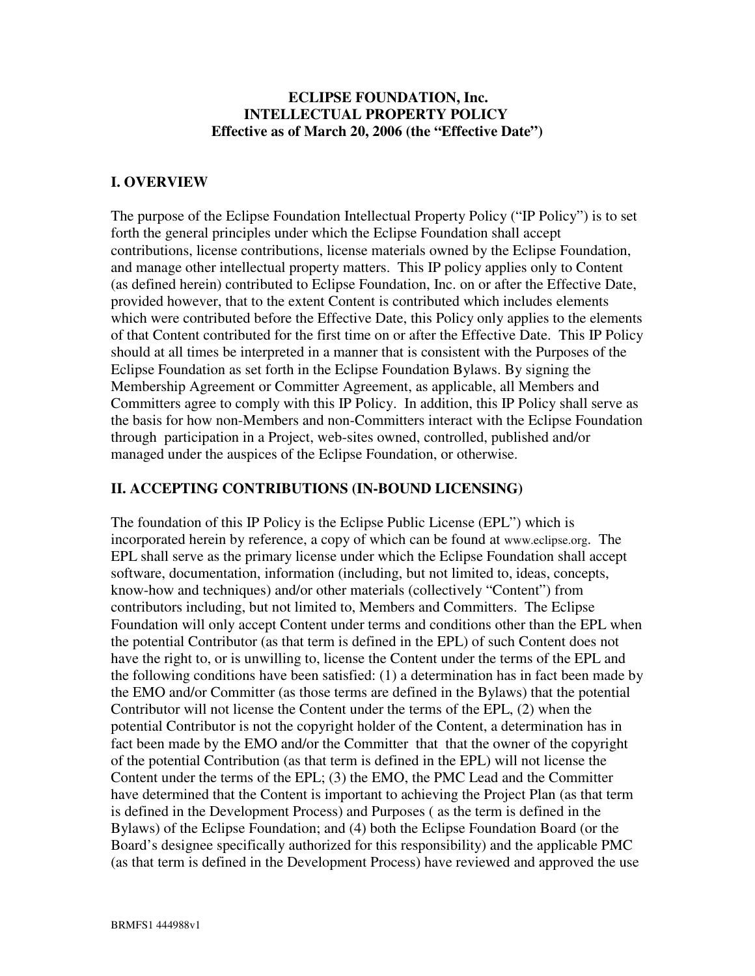#### **ECLIPSE FOUNDATION, Inc. INTELLECTUAL PROPERTY POLICY Effective as of March 20, 2006 (the "Effective Date")**

#### **I. OVERVIEW**

The purpose of the Eclipse Foundation Intellectual Property Policy ("IP Policy") is to set forth the general principles under which the Eclipse Foundation shall accept contributions, license contributions, license materials owned by the Eclipse Foundation, and manage other intellectual property matters. This IP policy applies only to Content (as defined herein) contributed to Eclipse Foundation, Inc. on or after the Effective Date, provided however, that to the extent Content is contributed which includes elements which were contributed before the Effective Date, this Policy only applies to the elements of that Content contributed for the first time on or after the Effective Date. This IP Policy should at all times be interpreted in a manner that is consistent with the Purposes of the Eclipse Foundation as set forth in the Eclipse Foundation Bylaws. By signing the Membership Agreement or Committer Agreement, as applicable, all Members and Committers agree to comply with this IP Policy. In addition, this IP Policy shall serve as the basis for how non-Members and non-Committers interact with the Eclipse Foundation through participation in a Project, web-sites owned, controlled, published and/or managed under the auspices of the Eclipse Foundation, or otherwise.

#### **II. ACCEPTING CONTRIBUTIONS (IN-BOUND LICENSING)**

The foundation of this IP Policy is the Eclipse Public License (EPL") which is incorporated herein by reference, a copy of which can be found at www.eclipse.org. The EPL shall serve as the primary license under which the Eclipse Foundation shall accept software, documentation, information (including, but not limited to, ideas, concepts, know-how and techniques) and/or other materials (collectively "Content") from contributors including, but not limited to, Members and Committers. The Eclipse Foundation will only accept Content under terms and conditions other than the EPL when the potential Contributor (as that term is defined in the EPL) of such Content does not have the right to, or is unwilling to, license the Content under the terms of the EPL and the following conditions have been satisfied: (1) a determination has in fact been made by the EMO and/or Committer (as those terms are defined in the Bylaws) that the potential Contributor will not license the Content under the terms of the EPL, (2) when the potential Contributor is not the copyright holder of the Content, a determination has in fact been made by the EMO and/or the Committer that that the owner of the copyright of the potential Contribution (as that term is defined in the EPL) will not license the Content under the terms of the EPL; (3) the EMO, the PMC Lead and the Committer have determined that the Content is important to achieving the Project Plan (as that term is defined in the Development Process) and Purposes ( as the term is defined in the Bylaws) of the Eclipse Foundation; and (4) both the Eclipse Foundation Board (or the Board's designee specifically authorized for this responsibility) and the applicable PMC (as that term is defined in the Development Process) have reviewed and approved the use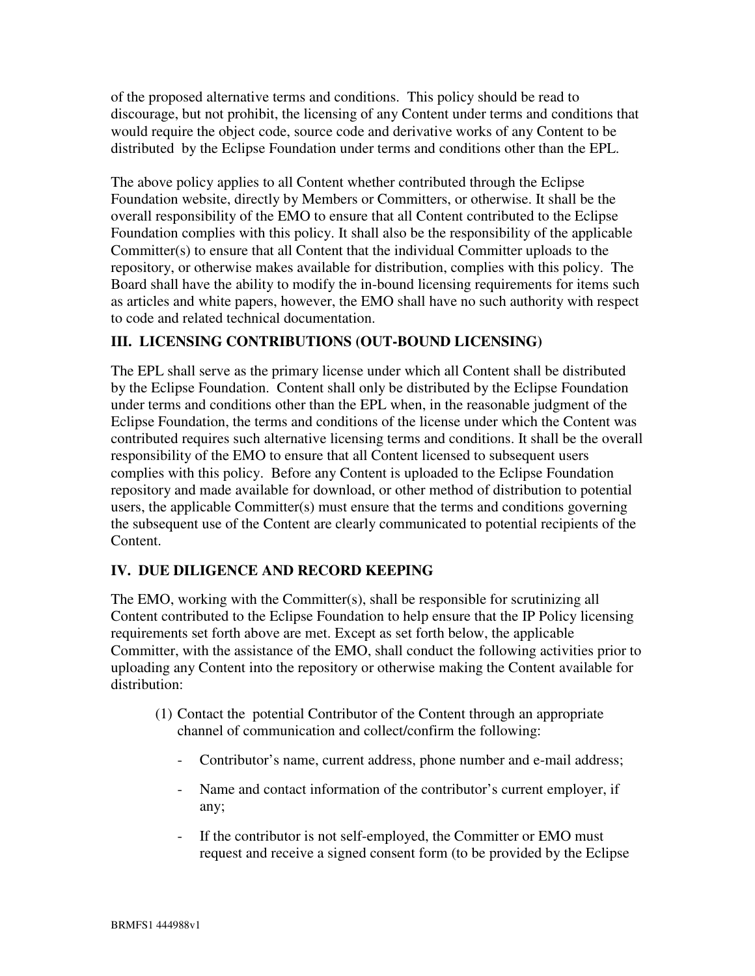of the proposed alternative terms and conditions. This policy should be read to discourage, but not prohibit, the licensing of any Content under terms and conditions that would require the object code, source code and derivative works of any Content to be distributed by the Eclipse Foundation under terms and conditions other than the EPL.

The above policy applies to all Content whether contributed through the Eclipse Foundation website, directly by Members or Committers, or otherwise. It shall be the overall responsibility of the EMO to ensure that all Content contributed to the Eclipse Foundation complies with this policy. It shall also be the responsibility of the applicable Committer(s) to ensure that all Content that the individual Committer uploads to the repository, or otherwise makes available for distribution, complies with this policy. The Board shall have the ability to modify the in-bound licensing requirements for items such as articles and white papers, however, the EMO shall have no such authority with respect to code and related technical documentation.

## **III. LICENSING CONTRIBUTIONS (OUT-BOUND LICENSING)**

The EPL shall serve as the primary license under which all Content shall be distributed by the Eclipse Foundation. Content shall only be distributed by the Eclipse Foundation under terms and conditions other than the EPL when, in the reasonable judgment of the Eclipse Foundation, the terms and conditions of the license under which the Content was contributed requires such alternative licensing terms and conditions. It shall be the overall responsibility of the EMO to ensure that all Content licensed to subsequent users complies with this policy. Before any Content is uploaded to the Eclipse Foundation repository and made available for download, or other method of distribution to potential users, the applicable Committer(s) must ensure that the terms and conditions governing the subsequent use of the Content are clearly communicated to potential recipients of the Content.

# **IV. DUE DILIGENCE AND RECORD KEEPING**

The EMO, working with the Committer(s), shall be responsible for scrutinizing all Content contributed to the Eclipse Foundation to help ensure that the IP Policy licensing requirements set forth above are met. Except as set forth below, the applicable Committer, with the assistance of the EMO, shall conduct the following activities prior to uploading any Content into the repository or otherwise making the Content available for distribution:

- (1) Contact the potential Contributor of the Content through an appropriate channel of communication and collect/confirm the following:
	- Contributor's name, current address, phone number and e-mail address;
	- Name and contact information of the contributor's current employer, if any;
	- If the contributor is not self-employed, the Committer or EMO must request and receive a signed consent form (to be provided by the Eclipse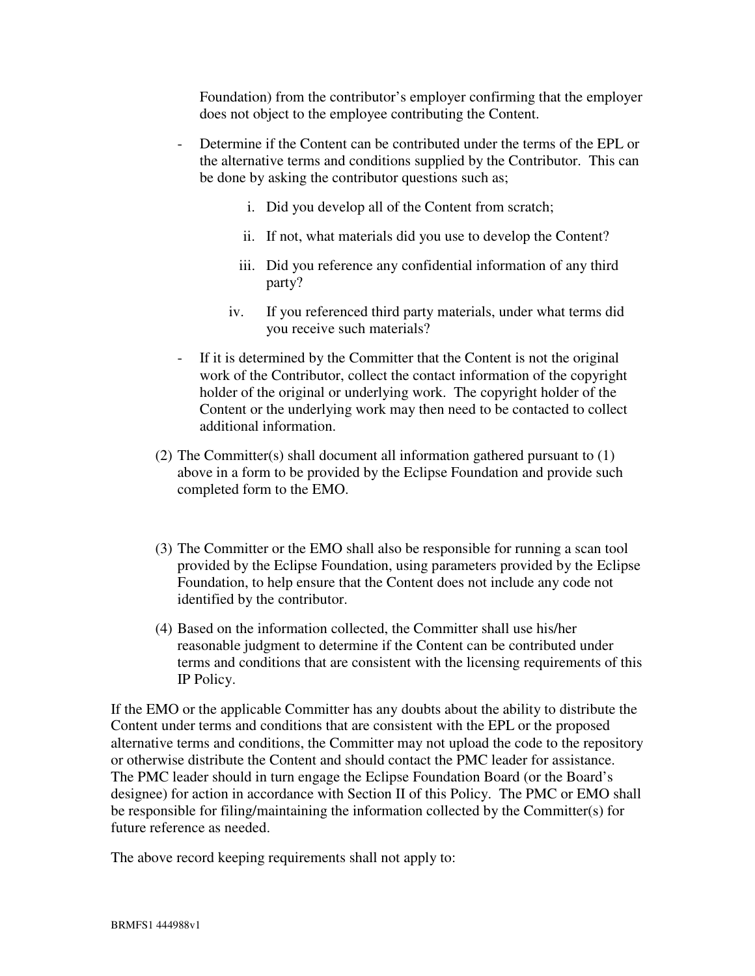Foundation) from the contributor's employer confirming that the employer does not object to the employee contributing the Content.

- Determine if the Content can be contributed under the terms of the EPL or the alternative terms and conditions supplied by the Contributor. This can be done by asking the contributor questions such as;
	- i. Did you develop all of the Content from scratch;
	- ii. If not, what materials did you use to develop the Content?
	- iii. Did you reference any confidential information of any third party?
	- iv. If you referenced third party materials, under what terms did you receive such materials?
- If it is determined by the Committer that the Content is not the original work of the Contributor, collect the contact information of the copyright holder of the original or underlying work. The copyright holder of the Content or the underlying work may then need to be contacted to collect additional information.
- (2) The Committer(s) shall document all information gathered pursuant to (1) above in a form to be provided by the Eclipse Foundation and provide such completed form to the EMO.
- (3) The Committer or the EMO shall also be responsible for running a scan tool provided by the Eclipse Foundation, using parameters provided by the Eclipse Foundation, to help ensure that the Content does not include any code not identified by the contributor.
- (4) Based on the information collected, the Committer shall use his/her reasonable judgment to determine if the Content can be contributed under terms and conditions that are consistent with the licensing requirements of this IP Policy.

If the EMO or the applicable Committer has any doubts about the ability to distribute the Content under terms and conditions that are consistent with the EPL or the proposed alternative terms and conditions, the Committer may not upload the code to the repository or otherwise distribute the Content and should contact the PMC leader for assistance. The PMC leader should in turn engage the Eclipse Foundation Board (or the Board's designee) for action in accordance with Section II of this Policy. The PMC or EMO shall be responsible for filing/maintaining the information collected by the Committer(s) for future reference as needed.

The above record keeping requirements shall not apply to: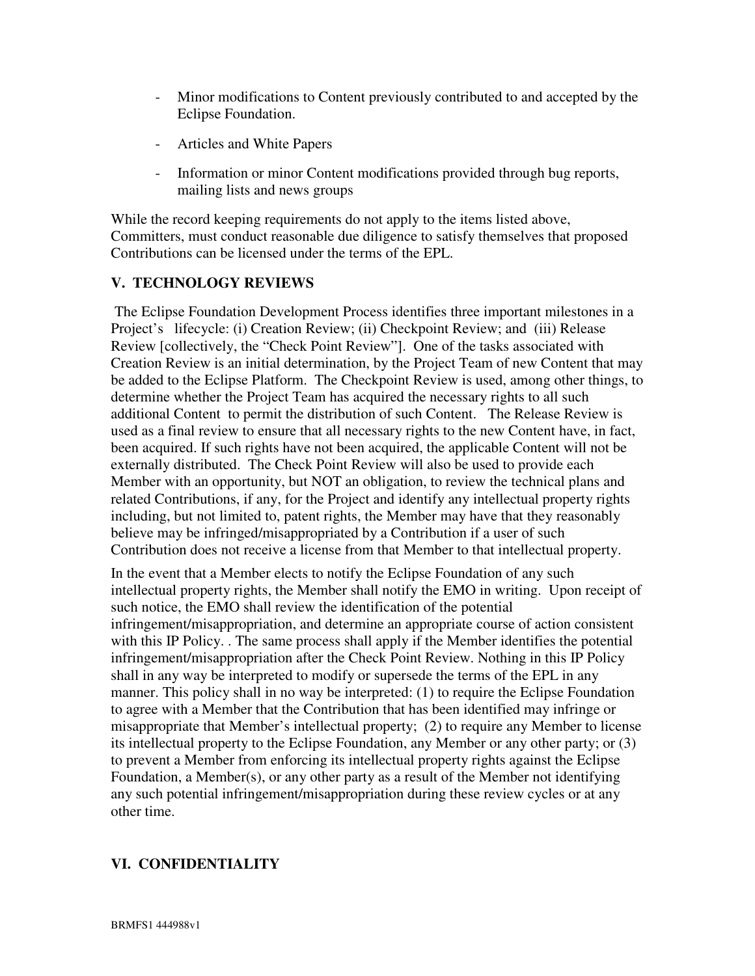- Minor modifications to Content previously contributed to and accepted by the Eclipse Foundation.
- Articles and White Papers
- Information or minor Content modifications provided through bug reports, mailing lists and news groups

While the record keeping requirements do not apply to the items listed above, Committers, must conduct reasonable due diligence to satisfy themselves that proposed Contributions can be licensed under the terms of the EPL.

## **V. TECHNOLOGY REVIEWS**

The Eclipse Foundation Development Process identifies three important milestones in a Project's lifecycle: (i) Creation Review; (ii) Checkpoint Review; and (iii) Release Review [collectively, the "Check Point Review"]. One of the tasks associated with Creation Review is an initial determination, by the Project Team of new Content that may be added to the Eclipse Platform. The Checkpoint Review is used, among other things, to determine whether the Project Team has acquired the necessary rights to all such additional Content to permit the distribution of such Content. The Release Review is used as a final review to ensure that all necessary rights to the new Content have, in fact, been acquired. If such rights have not been acquired, the applicable Content will not be externally distributed. The Check Point Review will also be used to provide each Member with an opportunity, but NOT an obligation, to review the technical plans and related Contributions, if any, for the Project and identify any intellectual property rights including, but not limited to, patent rights, the Member may have that they reasonably believe may be infringed/misappropriated by a Contribution if a user of such Contribution does not receive a license from that Member to that intellectual property.

In the event that a Member elects to notify the Eclipse Foundation of any such intellectual property rights, the Member shall notify the EMO in writing. Upon receipt of such notice, the EMO shall review the identification of the potential infringement/misappropriation, and determine an appropriate course of action consistent with this IP Policy. . The same process shall apply if the Member identifies the potential infringement/misappropriation after the Check Point Review. Nothing in this IP Policy shall in any way be interpreted to modify or supersede the terms of the EPL in any manner. This policy shall in no way be interpreted: (1) to require the Eclipse Foundation to agree with a Member that the Contribution that has been identified may infringe or misappropriate that Member's intellectual property; (2) to require any Member to license its intellectual property to the Eclipse Foundation, any Member or any other party; or (3) to prevent a Member from enforcing its intellectual property rights against the Eclipse Foundation, a Member(s), or any other party as a result of the Member not identifying any such potential infringement/misappropriation during these review cycles or at any other time.

# **VI. CONFIDENTIALITY**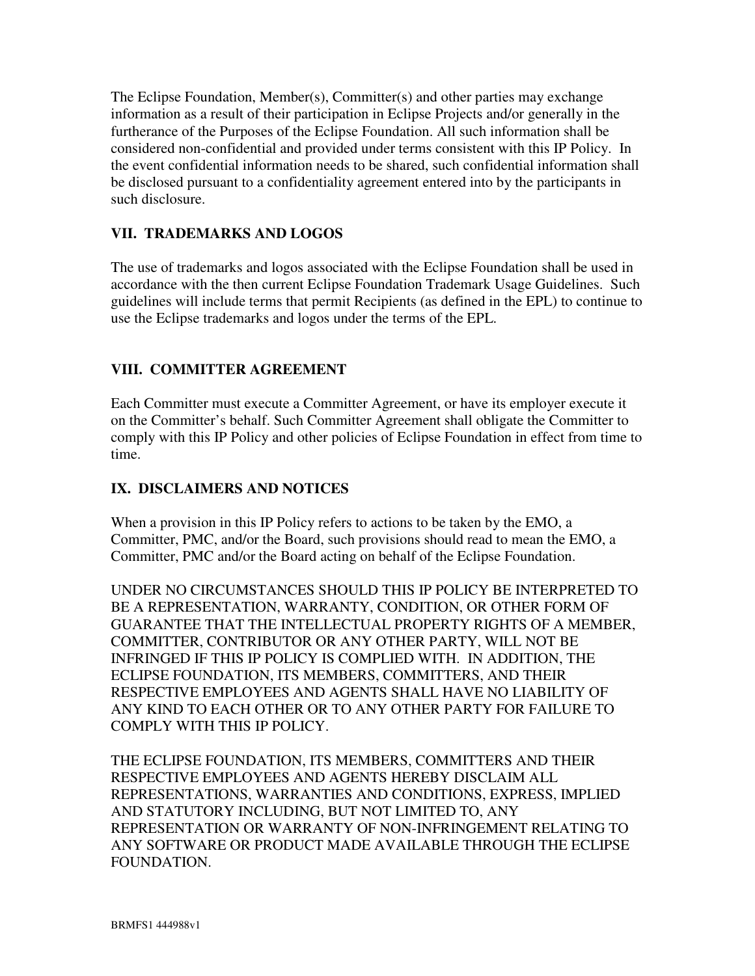The Eclipse Foundation, Member(s), Committer(s) and other parties may exchange information as a result of their participation in Eclipse Projects and/or generally in the furtherance of the Purposes of the Eclipse Foundation. All such information shall be considered non-confidential and provided under terms consistent with this IP Policy. In the event confidential information needs to be shared, such confidential information shall be disclosed pursuant to a confidentiality agreement entered into by the participants in such disclosure.

## **VII. TRADEMARKS AND LOGOS**

The use of trademarks and logos associated with the Eclipse Foundation shall be used in accordance with the then current Eclipse Foundation Trademark Usage Guidelines. Such guidelines will include terms that permit Recipients (as defined in the EPL) to continue to use the Eclipse trademarks and logos under the terms of the EPL.

### **VIII. COMMITTER AGREEMENT**

Each Committer must execute a Committer Agreement, or have its employer execute it on the Committer's behalf. Such Committer Agreement shall obligate the Committer to comply with this IP Policy and other policies of Eclipse Foundation in effect from time to time.

### **IX. DISCLAIMERS AND NOTICES**

When a provision in this IP Policy refers to actions to be taken by the EMO, a Committer, PMC, and/or the Board, such provisions should read to mean the EMO, a Committer, PMC and/or the Board acting on behalf of the Eclipse Foundation.

UNDER NO CIRCUMSTANCES SHOULD THIS IP POLICY BE INTERPRETED TO BE A REPRESENTATION, WARRANTY, CONDITION, OR OTHER FORM OF GUARANTEE THAT THE INTELLECTUAL PROPERTY RIGHTS OF A MEMBER, COMMITTER, CONTRIBUTOR OR ANY OTHER PARTY, WILL NOT BE INFRINGED IF THIS IP POLICY IS COMPLIED WITH. IN ADDITION, THE ECLIPSE FOUNDATION, ITS MEMBERS, COMMITTERS, AND THEIR RESPECTIVE EMPLOYEES AND AGENTS SHALL HAVE NO LIABILITY OF ANY KIND TO EACH OTHER OR TO ANY OTHER PARTY FOR FAILURE TO COMPLY WITH THIS IP POLICY.

THE ECLIPSE FOUNDATION, ITS MEMBERS, COMMITTERS AND THEIR RESPECTIVE EMPLOYEES AND AGENTS HEREBY DISCLAIM ALL REPRESENTATIONS, WARRANTIES AND CONDITIONS, EXPRESS, IMPLIED AND STATUTORY INCLUDING, BUT NOT LIMITED TO, ANY REPRESENTATION OR WARRANTY OF NON-INFRINGEMENT RELATING TO ANY SOFTWARE OR PRODUCT MADE AVAILABLE THROUGH THE ECLIPSE FOUNDATION.